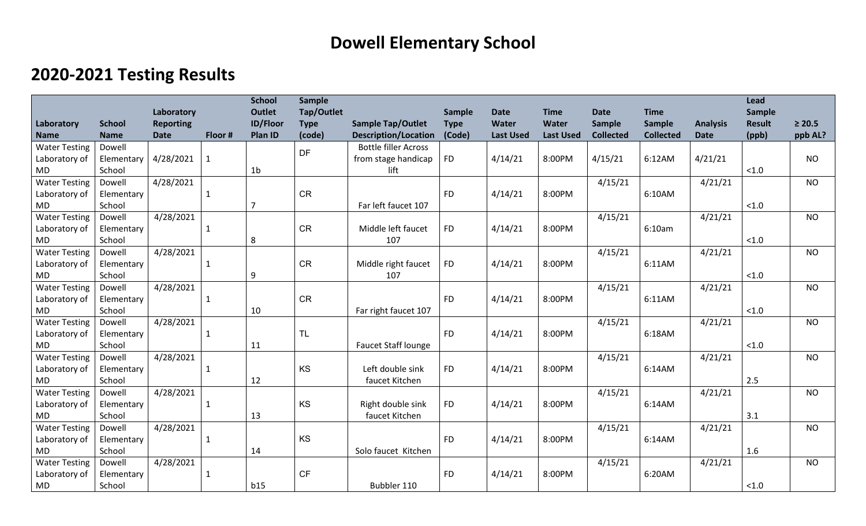## **Dowell Elementary School**

## **2020-2021 Testing Results**

|                      |               |                  |              | <b>School</b>   | <b>Sample</b> |                             |             |                  |                  |                  |                  |                 | <b>Lead</b>   |             |
|----------------------|---------------|------------------|--------------|-----------------|---------------|-----------------------------|-------------|------------------|------------------|------------------|------------------|-----------------|---------------|-------------|
|                      |               | Laboratory       |              | <b>Outlet</b>   | Tap/Outlet    |                             | Sample      | <b>Date</b>      | <b>Time</b>      | <b>Date</b>      | <b>Time</b>      |                 | Sample        |             |
| Laboratory           | <b>School</b> | <b>Reporting</b> |              | <b>ID/Floor</b> | <b>Type</b>   | <b>Sample Tap/Outlet</b>    | <b>Type</b> | Water            | <b>Water</b>     | <b>Sample</b>    | <b>Sample</b>    | <b>Analysis</b> | <b>Result</b> | $\geq 20.5$ |
| <b>Name</b>          | <b>Name</b>   | <b>Date</b>      | Floor #      | Plan ID         | (code)        | <b>Description/Location</b> | (Code)      | <b>Last Used</b> | <b>Last Used</b> | <b>Collected</b> | <b>Collected</b> | <b>Date</b>     | (ppb)         | ppb AL?     |
| <b>Water Testing</b> | Dowell        |                  |              |                 | <b>DF</b>     | <b>Bottle filler Across</b> |             |                  |                  |                  |                  |                 |               |             |
| Laboratory of        | Elementary    | 4/28/2021        | $\mathbf{1}$ |                 |               | from stage handicap         | <b>FD</b>   | 4/14/21          | 8:00PM           | 4/15/21          | 6:12AM           | 4/21/21         |               | <b>NO</b>   |
| <b>MD</b>            | School        |                  |              | 1 <sub>b</sub>  |               | lift                        |             |                  |                  |                  |                  |                 | < 1.0         |             |
| <b>Water Testing</b> | Dowell        | 4/28/2021        |              |                 |               |                             |             |                  |                  | 4/15/21          |                  | 4/21/21         |               | <b>NO</b>   |
| Laboratory of        | Elementary    |                  | $\mathbf{1}$ |                 | <b>CR</b>     |                             | <b>FD</b>   | 4/14/21          | 8:00PM           |                  | 6:10AM           |                 |               |             |
| <b>MD</b>            | School        |                  |              | $\overline{7}$  |               | Far left faucet 107         |             |                  |                  |                  |                  |                 | < 1.0         |             |
| <b>Water Testing</b> | Dowell        | 4/28/2021        |              |                 |               |                             |             |                  |                  | 4/15/21          |                  | 4/21/21         |               | <b>NO</b>   |
| Laboratory of        | Elementary    |                  | $\mathbf{1}$ |                 | <b>CR</b>     | Middle left faucet          | <b>FD</b>   | 4/14/21          | 8:00PM           |                  | 6:10am           |                 |               |             |
| <b>MD</b>            | School        |                  |              | 8               |               | 107                         |             |                  |                  |                  |                  |                 | < 1.0         |             |
| <b>Water Testing</b> | Dowell        | 4/28/2021        |              |                 |               |                             |             |                  |                  | 4/15/21          |                  | 4/21/21         |               | <b>NO</b>   |
| Laboratory of        | Elementary    |                  | $\mathbf{1}$ |                 | <b>CR</b>     | Middle right faucet         | <b>FD</b>   | 4/14/21          | 8:00PM           |                  | 6:11AM           |                 |               |             |
| <b>MD</b>            | School        |                  |              | 9               |               | 107                         |             |                  |                  |                  |                  |                 | < 1.0         |             |
| <b>Water Testing</b> | Dowell        | 4/28/2021        |              |                 |               |                             |             |                  |                  | 4/15/21          |                  | 4/21/21         |               | <b>NO</b>   |
| Laboratory of        | Elementary    |                  | $\mathbf{1}$ |                 | <b>CR</b>     |                             | <b>FD</b>   | 4/14/21          | 8:00PM           |                  | 6:11AM           |                 |               |             |
| <b>MD</b>            | School        |                  |              | 10              |               | Far right faucet 107        |             |                  |                  |                  |                  |                 | < 1.0         |             |
| <b>Water Testing</b> | Dowell        | 4/28/2021        |              |                 |               |                             |             |                  |                  | 4/15/21          |                  | 4/21/21         |               | <b>NO</b>   |
| Laboratory of        | Elementary    |                  | $\mathbf{1}$ |                 | <b>TL</b>     |                             | <b>FD</b>   | 4/14/21          | 8:00PM           |                  | 6:18AM           |                 |               |             |
| <b>MD</b>            | School        |                  |              | 11              |               | Faucet Staff lounge         |             |                  |                  |                  |                  |                 | < 1.0         |             |
| <b>Water Testing</b> | Dowell        | 4/28/2021        |              |                 |               |                             |             |                  |                  | 4/15/21          |                  | 4/21/21         |               | <b>NO</b>   |
| Laboratory of        | Elementary    |                  | $\mathbf{1}$ |                 | KS            | Left double sink            | <b>FD</b>   | 4/14/21          | 8:00PM           |                  | 6:14AM           |                 |               |             |
| <b>MD</b>            | School        |                  |              | 12              |               | faucet Kitchen              |             |                  |                  |                  |                  |                 | 2.5           |             |
| <b>Water Testing</b> | Dowell        | 4/28/2021        |              |                 |               |                             |             |                  |                  | 4/15/21          |                  | 4/21/21         |               | <b>NO</b>   |
| Laboratory of        | Elementary    |                  | $\mathbf{1}$ |                 | KS            | Right double sink           | <b>FD</b>   | 4/14/21          | 8:00PM           |                  | 6:14AM           |                 |               |             |
| <b>MD</b>            | School        |                  |              | 13              |               | faucet Kitchen              |             |                  |                  |                  |                  |                 | 3.1           |             |
| <b>Water Testing</b> | Dowell        | 4/28/2021        |              |                 |               |                             |             |                  |                  | 4/15/21          |                  | 4/21/21         |               | <b>NO</b>   |
| Laboratory of        | Elementary    |                  | 1            |                 | KS            |                             | <b>FD</b>   | 4/14/21          | 8:00PM           |                  | 6:14AM           |                 |               |             |
| <b>MD</b>            | School        |                  |              | 14              |               | Solo faucet Kitchen         |             |                  |                  |                  |                  |                 | 1.6           |             |
| <b>Water Testing</b> | Dowell        | 4/28/2021        |              |                 |               |                             |             |                  |                  | 4/15/21          |                  | 4/21/21         |               | <b>NO</b>   |
| Laboratory of        | Elementary    |                  | 1            |                 | <b>CF</b>     |                             | <b>FD</b>   | 4/14/21          | 8:00PM           |                  | 6:20AM           |                 |               |             |
| <b>MD</b>            | School        |                  |              | b15             |               | Bubbler 110                 |             |                  |                  |                  |                  |                 | < 1.0         |             |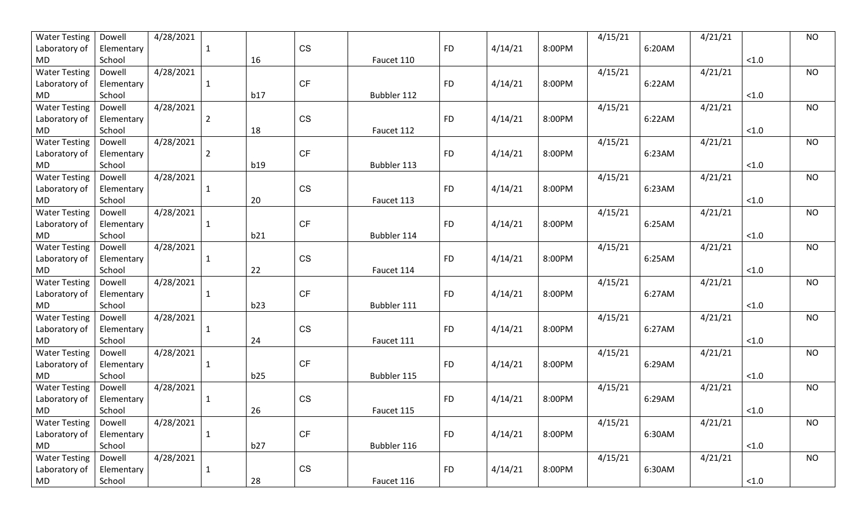| <b>Water Testing</b> | Dowell     | 4/28/2021 |                |     |           |             |           |         |        | 4/15/21 |        | 4/21/21 |          | <b>NO</b> |
|----------------------|------------|-----------|----------------|-----|-----------|-------------|-----------|---------|--------|---------|--------|---------|----------|-----------|
| Laboratory of        | Elementary |           | -1             |     | <b>CS</b> |             | <b>FD</b> | 4/14/21 | 8:00PM |         | 6:20AM |         |          |           |
| MD                   | School     |           |                | 16  |           | Faucet 110  |           |         |        |         |        |         | $<1.0$   |           |
| <b>Water Testing</b> | Dowell     | 4/28/2021 |                |     |           |             |           |         |        | 4/15/21 |        | 4/21/21 |          | <b>NO</b> |
| Laboratory of        | Elementary |           | 1              |     | <b>CF</b> |             | <b>FD</b> | 4/14/21 | 8:00PM |         | 6:22AM |         |          |           |
| <b>MD</b>            | School     |           |                | b17 |           | Bubbler 112 |           |         |        |         |        |         | $<1.0$   |           |
| <b>Water Testing</b> | Dowell     | 4/28/2021 |                |     |           |             |           |         |        | 4/15/21 |        | 4/21/21 |          | <b>NO</b> |
| Laboratory of        | Elementary |           | $\overline{2}$ |     | <b>CS</b> |             | <b>FD</b> | 4/14/21 | 8:00PM |         | 6:22AM |         |          |           |
| MD                   | School     |           |                | 18  |           | Faucet 112  |           |         |        |         |        |         | < 1.0    |           |
| <b>Water Testing</b> | Dowell     | 4/28/2021 |                |     |           |             |           |         |        | 4/15/21 |        | 4/21/21 |          | <b>NO</b> |
| Laboratory of        | Elementary |           | $\overline{2}$ |     | <b>CF</b> |             | <b>FD</b> | 4/14/21 | 8:00PM |         | 6:23AM |         |          |           |
| MD                   | School     |           |                | b19 |           | Bubbler 113 |           |         |        |         |        |         | < 1.0    |           |
| <b>Water Testing</b> | Dowell     | 4/28/2021 |                |     |           |             |           |         |        | 4/15/21 |        | 4/21/21 |          | <b>NO</b> |
| Laboratory of        | Elementary |           | 1              |     | <b>CS</b> |             | <b>FD</b> | 4/14/21 | 8:00PM |         | 6:23AM |         |          |           |
| MD                   | School     |           |                | 20  |           | Faucet 113  |           |         |        |         |        |         | < 1.0    |           |
| <b>Water Testing</b> | Dowell     | 4/28/2021 |                |     |           |             |           |         |        | 4/15/21 |        | 4/21/21 |          | <b>NO</b> |
| Laboratory of        | Elementary |           | 1              |     | <b>CF</b> |             | <b>FD</b> | 4/14/21 | 8:00PM |         | 6:25AM |         |          |           |
| <b>MD</b>            | School     |           |                | b21 |           | Bubbler 114 |           |         |        |         |        |         | < 1.0    |           |
| <b>Water Testing</b> | Dowell     | 4/28/2021 |                |     |           |             |           |         |        | 4/15/21 |        | 4/21/21 |          | <b>NO</b> |
| Laboratory of        | Elementary |           | -1             |     | <b>CS</b> |             | <b>FD</b> | 4/14/21 | 8:00PM |         | 6:25AM |         |          |           |
| <b>MD</b>            | School     |           |                | 22  |           | Faucet 114  |           |         |        |         |        |         | $<1.0$   |           |
| <b>Water Testing</b> | Dowell     | 4/28/2021 |                |     |           |             |           |         |        | 4/15/21 |        | 4/21/21 |          | <b>NO</b> |
| Laboratory of        | Elementary |           | 1              |     | <b>CF</b> |             | <b>FD</b> | 4/14/21 | 8:00PM |         | 6:27AM |         |          |           |
| MD.                  | School     |           |                | b23 |           | Bubbler 111 |           |         |        |         |        |         | < 1.0    |           |
| <b>Water Testing</b> | Dowell     | 4/28/2021 |                |     |           |             |           |         |        | 4/15/21 |        | 4/21/21 |          | <b>NO</b> |
| Laboratory of        | Elementary |           | 1              |     | <b>CS</b> |             | <b>FD</b> | 4/14/21 | 8:00PM |         | 6:27AM |         |          |           |
| MD                   | School     |           |                | 24  |           | Faucet 111  |           |         |        |         |        |         | $<1.0$   |           |
| <b>Water Testing</b> | Dowell     | 4/28/2021 |                |     |           |             |           |         |        | 4/15/21 |        | 4/21/21 |          | <b>NO</b> |
| Laboratory of        | Elementary |           | 1              |     | <b>CF</b> |             | <b>FD</b> | 4/14/21 | 8:00PM |         | 6:29AM |         |          |           |
| MD                   | School     |           |                | b25 |           | Bubbler 115 |           |         |        |         |        |         | $<1.0$   |           |
| <b>Water Testing</b> | Dowell     | 4/28/2021 |                |     |           |             |           |         |        | 4/15/21 |        | 4/21/21 |          | <b>NO</b> |
| Laboratory of        | Elementary |           |                |     | <b>CS</b> |             | <b>FD</b> | 4/14/21 | 8:00PM |         | 6:29AM |         |          |           |
| MD                   | School     |           |                | 26  |           | Faucet 115  |           |         |        |         |        |         | < 1.0    |           |
| <b>Water Testing</b> | Dowell     | 4/28/2021 |                |     |           |             |           |         |        | 4/15/21 |        | 4/21/21 |          | <b>NO</b> |
| Laboratory of        | Elementary |           | $\mathbf{1}$   |     | <b>CF</b> |             | <b>FD</b> | 4/14/21 | 8:00PM |         | 6:30AM |         |          |           |
| <b>MD</b>            | School     |           |                | b27 |           | Bubbler 116 |           |         |        |         |        |         | $<1.0\,$ |           |
| <b>Water Testing</b> | Dowell     | 4/28/2021 |                |     |           |             |           |         |        | 4/15/21 |        | 4/21/21 |          | <b>NO</b> |
| Laboratory of        | Elementary |           | $\mathbf{1}$   |     | CS        |             | <b>FD</b> | 4/14/21 | 8:00PM |         | 6:30AM |         |          |           |
| MD                   | School     |           |                | 28  |           | Faucet 116  |           |         |        |         |        |         | < 1.0    |           |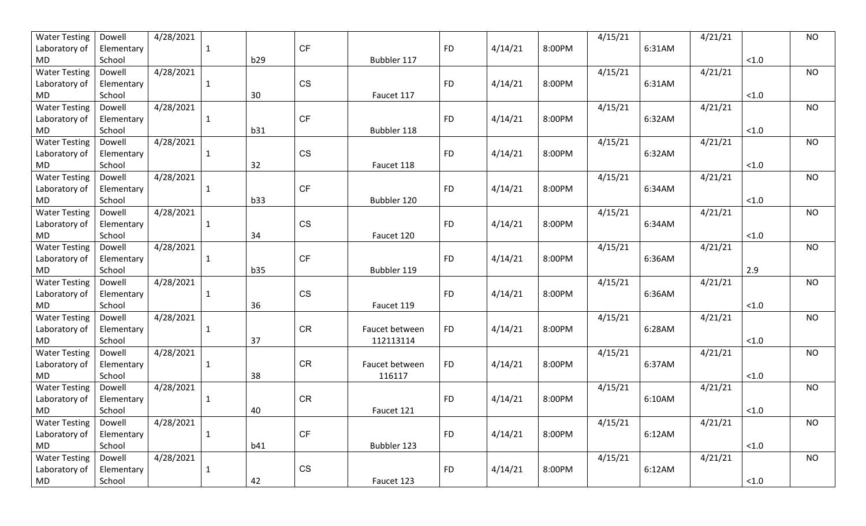| <b>Water Testing</b> | Dowell     | 4/28/2021 |              |     |           |                |           |         |        | 4/15/21 |        | 4/21/21 |          | <b>NO</b> |
|----------------------|------------|-----------|--------------|-----|-----------|----------------|-----------|---------|--------|---------|--------|---------|----------|-----------|
| Laboratory of        | Elementary |           | -1           |     | <b>CF</b> |                | <b>FD</b> | 4/14/21 | 8:00PM |         | 6:31AM |         |          |           |
| MD                   | School     |           |              | b29 |           | Bubbler 117    |           |         |        |         |        |         | $<1.0$   |           |
| <b>Water Testing</b> | Dowell     | 4/28/2021 |              |     |           |                |           |         |        | 4/15/21 |        | 4/21/21 |          | <b>NO</b> |
| Laboratory of        | Elementary |           | 1            |     | <b>CS</b> |                | <b>FD</b> | 4/14/21 | 8:00PM |         | 6:31AM |         |          |           |
| MD                   | School     |           |              | 30  |           | Faucet 117     |           |         |        |         |        |         | $<1.0$   |           |
| <b>Water Testing</b> | Dowell     | 4/28/2021 |              |     |           |                |           |         |        | 4/15/21 |        | 4/21/21 |          | <b>NO</b> |
| Laboratory of        | Elementary |           | -1           |     | <b>CF</b> |                | <b>FD</b> | 4/14/21 | 8:00PM |         | 6:32AM |         |          |           |
| MD                   | School     |           |              | b31 |           | Bubbler 118    |           |         |        |         |        |         | $<1.0$   |           |
| <b>Water Testing</b> | Dowell     | 4/28/2021 |              |     |           |                |           |         |        | 4/15/21 |        | 4/21/21 |          | <b>NO</b> |
| Laboratory of        | Elementary |           | $\mathbf{1}$ |     | <b>CS</b> |                | <b>FD</b> | 4/14/21 | 8:00PM |         | 6:32AM |         |          |           |
| MD                   | School     |           |              | 32  |           | Faucet 118     |           |         |        |         |        |         | < 1.0    |           |
| <b>Water Testing</b> | Dowell     | 4/28/2021 |              |     |           |                |           |         |        | 4/15/21 |        | 4/21/21 |          | <b>NO</b> |
| Laboratory of        | Elementary |           | 1            |     | <b>CF</b> |                | <b>FD</b> | 4/14/21 | 8:00PM |         | 6:34AM |         |          |           |
| MD                   | School     |           |              | b33 |           | Bubbler 120    |           |         |        |         |        |         | < 1.0    |           |
| <b>Water Testing</b> | Dowell     | 4/28/2021 |              |     |           |                |           |         |        | 4/15/21 |        | 4/21/21 |          | <b>NO</b> |
| Laboratory of        | Elementary |           | -1           |     | <b>CS</b> |                | <b>FD</b> | 4/14/21 | 8:00PM |         | 6:34AM |         |          |           |
| MD                   | School     |           |              | 34  |           | Faucet 120     |           |         |        |         |        |         | < 1.0    |           |
| <b>Water Testing</b> | Dowell     | 4/28/2021 |              |     |           |                |           |         |        | 4/15/21 |        | 4/21/21 |          | <b>NO</b> |
| Laboratory of        | Elementary |           | 1            |     | <b>CF</b> |                | <b>FD</b> | 4/14/21 | 8:00PM |         | 6:36AM |         |          |           |
| <b>MD</b>            | School     |           |              | b35 |           | Bubbler 119    |           |         |        |         |        |         | 2.9      |           |
| <b>Water Testing</b> | Dowell     | 4/28/2021 |              |     |           |                |           |         |        | 4/15/21 |        | 4/21/21 |          | <b>NO</b> |
| Laboratory of        | Elementary |           | 1            |     | <b>CS</b> |                | <b>FD</b> | 4/14/21 | 8:00PM |         | 6:36AM |         |          |           |
| MD                   | School     |           |              | 36  |           | Faucet 119     |           |         |        |         |        |         | < 1.0    |           |
| <b>Water Testing</b> | Dowell     | 4/28/2021 |              |     |           |                |           |         |        | 4/15/21 |        | 4/21/21 |          | <b>NO</b> |
| Laboratory of        | Elementary |           | $\mathbf{1}$ |     | <b>CR</b> | Faucet between | <b>FD</b> | 4/14/21 | 8:00PM |         | 6:28AM |         |          |           |
| MD                   | School     |           |              | 37  |           | 112113114      |           |         |        |         |        |         | $<1.0$   |           |
| <b>Water Testing</b> | Dowell     | 4/28/2021 |              |     |           |                |           |         |        | 4/15/21 |        | 4/21/21 |          | <b>NO</b> |
| Laboratory of        | Elementary |           | 1            |     | <b>CR</b> | Faucet between | <b>FD</b> | 4/14/21 | 8:00PM |         | 6:37AM |         |          |           |
| MD                   | School     |           |              | 38  |           | 116117         |           |         |        |         |        |         | $<1.0$   |           |
| <b>Water Testing</b> | Dowell     | 4/28/2021 |              |     |           |                |           |         |        | 4/15/21 |        | 4/21/21 |          | <b>NO</b> |
| Laboratory of        | Elementary |           |              |     | <b>CR</b> |                | <b>FD</b> | 4/14/21 | 8:00PM |         | 6:10AM |         |          |           |
| MD                   | School     |           |              | 40  |           | Faucet 121     |           |         |        |         |        |         | < 1.0    |           |
| <b>Water Testing</b> | Dowell     | 4/28/2021 |              |     |           |                |           |         |        | 4/15/21 |        | 4/21/21 |          | <b>NO</b> |
| Laboratory of        | Elementary |           | 1            |     | <b>CF</b> |                | <b>FD</b> | 4/14/21 | 8:00PM |         | 6:12AM |         |          |           |
| <b>MD</b>            | School     |           |              | b41 |           | Bubbler 123    |           |         |        |         |        |         | $<1.0\,$ |           |
| <b>Water Testing</b> | Dowell     | 4/28/2021 |              |     |           |                |           |         |        | 4/15/21 |        | 4/21/21 |          | <b>NO</b> |
| Laboratory of        | Elementary |           | $\mathbf{1}$ |     | CS        |                | <b>FD</b> | 4/14/21 | 8:00PM |         | 6:12AM |         |          |           |
| MD                   | School     |           |              | 42  |           | Faucet 123     |           |         |        |         |        |         | < 1.0    |           |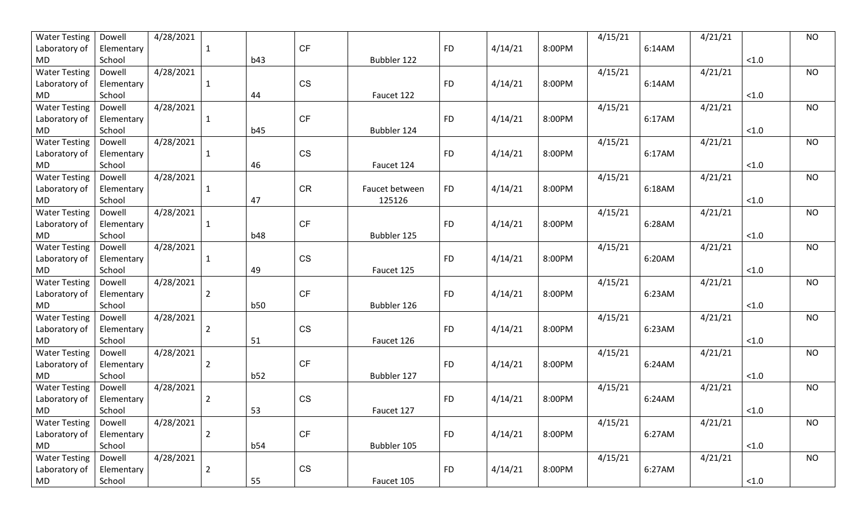| <b>Water Testing</b> | Dowell     | 4/28/2021 |                |            |           |                |           |         |        | 4/15/21 |        | 4/21/21 |          | <b>NO</b> |
|----------------------|------------|-----------|----------------|------------|-----------|----------------|-----------|---------|--------|---------|--------|---------|----------|-----------|
| Laboratory of        | Elementary |           | -1             |            | <b>CF</b> |                | <b>FD</b> | 4/14/21 | 8:00PM |         | 6:14AM |         |          |           |
| MD                   | School     |           |                | b43        |           | Bubbler 122    |           |         |        |         |        |         | $<1.0$   |           |
| <b>Water Testing</b> | Dowell     | 4/28/2021 |                |            |           |                |           |         |        | 4/15/21 |        | 4/21/21 |          | <b>NO</b> |
| Laboratory of        | Elementary |           | 1              |            | <b>CS</b> |                | <b>FD</b> | 4/14/21 | 8:00PM |         | 6:14AM |         |          |           |
| MD                   | School     |           |                | 44         |           | Faucet 122     |           |         |        |         |        |         | $<1.0$   |           |
| <b>Water Testing</b> | Dowell     | 4/28/2021 |                |            |           |                |           |         |        | 4/15/21 |        | 4/21/21 |          | <b>NO</b> |
| Laboratory of        | Elementary |           | -1             |            | <b>CF</b> |                | <b>FD</b> | 4/14/21 | 8:00PM |         | 6:17AM |         |          |           |
| MD                   | School     |           |                | b45        |           | Bubbler 124    |           |         |        |         |        |         | < 1.0    |           |
| <b>Water Testing</b> | Dowell     | 4/28/2021 |                |            |           |                |           |         |        | 4/15/21 |        | 4/21/21 |          | <b>NO</b> |
| Laboratory of        | Elementary |           | $\mathbf{1}$   |            | <b>CS</b> |                | <b>FD</b> | 4/14/21 | 8:00PM |         | 6:17AM |         |          |           |
| MD                   | School     |           |                | 46         |           | Faucet 124     |           |         |        |         |        |         | < 1.0    |           |
| <b>Water Testing</b> | Dowell     | 4/28/2021 |                |            |           |                |           |         |        | 4/15/21 |        | 4/21/21 |          | <b>NO</b> |
| Laboratory of        | Elementary |           | 1              |            | <b>CR</b> | Faucet between | <b>FD</b> | 4/14/21 | 8:00PM |         | 6:18AM |         |          |           |
| MD                   | School     |           |                | 47         |           | 125126         |           |         |        |         |        |         | < 1.0    |           |
| <b>Water Testing</b> | Dowell     | 4/28/2021 |                |            |           |                |           |         |        | 4/15/21 |        | 4/21/21 |          | <b>NO</b> |
| Laboratory of        | Elementary |           | 1              |            | <b>CF</b> |                | <b>FD</b> | 4/14/21 | 8:00PM |         | 6:28AM |         |          |           |
| MD                   | School     |           |                | <b>b48</b> |           | Bubbler 125    |           |         |        |         |        |         | $<1.0$   |           |
| <b>Water Testing</b> | Dowell     | 4/28/2021 |                |            |           |                |           |         |        | 4/15/21 |        | 4/21/21 |          | <b>NO</b> |
| Laboratory of        | Elementary |           | -1             |            | <b>CS</b> |                | <b>FD</b> | 4/14/21 | 8:00PM |         | 6:20AM |         |          |           |
| <b>MD</b>            | School     |           |                | 49         |           | Faucet 125     |           |         |        |         |        |         | $<1.0$   |           |
| <b>Water Testing</b> | Dowell     | 4/28/2021 |                |            |           |                |           |         |        | 4/15/21 |        | 4/21/21 |          | <b>NO</b> |
| Laboratory of        | Elementary |           | $\overline{2}$ |            | <b>CF</b> |                | <b>FD</b> | 4/14/21 | 8:00PM |         | 6:23AM |         |          |           |
| MD                   | School     |           |                | <b>b50</b> |           | Bubbler 126    |           |         |        |         |        |         | < 1.0    |           |
| <b>Water Testing</b> | Dowell     | 4/28/2021 |                |            |           |                |           |         |        | 4/15/21 |        | 4/21/21 |          | <b>NO</b> |
| Laboratory of        | Elementary |           | $\overline{2}$ |            | <b>CS</b> |                | <b>FD</b> | 4/14/21 | 8:00PM |         | 6:23AM |         |          |           |
| MD                   | School     |           |                | 51         |           | Faucet 126     |           |         |        |         |        |         | $<1.0$   |           |
| <b>Water Testing</b> | Dowell     | 4/28/2021 |                |            |           |                |           |         |        | 4/15/21 |        | 4/21/21 |          | <b>NO</b> |
| Laboratory of        | Elementary |           | $\overline{2}$ |            | <b>CF</b> |                | <b>FD</b> | 4/14/21 | 8:00PM |         | 6:24AM |         |          |           |
| MD                   | School     |           |                | b52        |           | Bubbler 127    |           |         |        |         |        |         | $<1.0$   |           |
| <b>Water Testing</b> | Dowell     | 4/28/2021 |                |            |           |                |           |         |        | 4/15/21 |        | 4/21/21 |          | <b>NO</b> |
| Laboratory of        | Elementary |           | 2              |            | <b>CS</b> |                | <b>FD</b> | 4/14/21 | 8:00PM |         | 6:24AM |         |          |           |
| MD                   | School     |           |                | 53         |           | Faucet 127     |           |         |        |         |        |         | < 1.0    |           |
| <b>Water Testing</b> | Dowell     | 4/28/2021 |                |            |           |                |           |         |        | 4/15/21 |        | 4/21/21 |          | <b>NO</b> |
| Laboratory of        | Elementary |           | $\overline{2}$ |            | <b>CF</b> |                | <b>FD</b> | 4/14/21 | 8:00PM |         | 6:27AM |         |          |           |
| <b>MD</b>            | School     |           |                | b54        |           | Bubbler 105    |           |         |        |         |        |         | $<1.0\,$ |           |
| <b>Water Testing</b> | Dowell     | 4/28/2021 |                |            |           |                |           |         |        | 4/15/21 |        | 4/21/21 |          | <b>NO</b> |
| Laboratory of        | Elementary |           | $\overline{2}$ |            | CS        |                | <b>FD</b> | 4/14/21 | 8:00PM |         | 6:27AM |         |          |           |
| MD                   | School     |           |                | 55         |           | Faucet 105     |           |         |        |         |        |         | < 1.0    |           |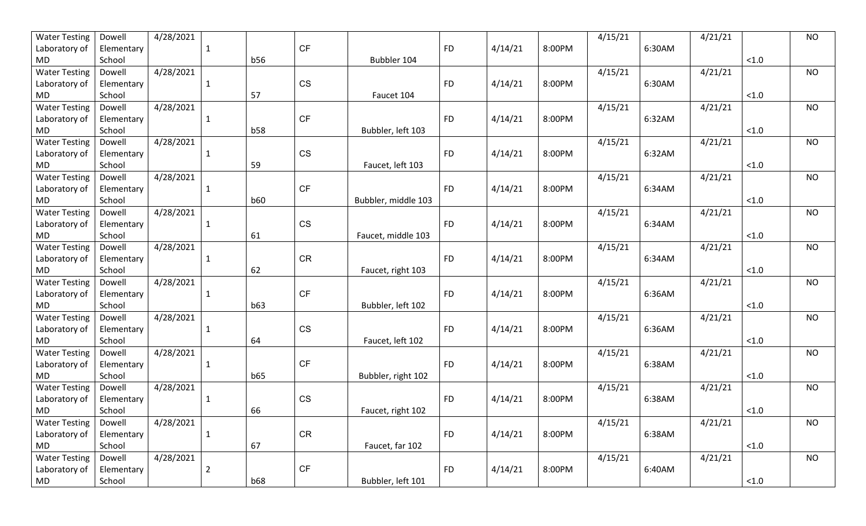| <b>Water Testing</b> | Dowell     | 4/28/2021 |                |            |           |                     |           |         |        | 4/15/21 |        | 4/21/21 |          | <b>NO</b> |
|----------------------|------------|-----------|----------------|------------|-----------|---------------------|-----------|---------|--------|---------|--------|---------|----------|-----------|
| Laboratory of        | Elementary |           | 1              |            | <b>CF</b> |                     | <b>FD</b> | 4/14/21 | 8:00PM |         | 6:30AM |         |          |           |
| MD                   | School     |           |                | b56        |           | Bubbler 104         |           |         |        |         |        |         | $<1.0$   |           |
| <b>Water Testing</b> | Dowell     | 4/28/2021 |                |            |           |                     |           |         |        | 4/15/21 |        | 4/21/21 |          | <b>NO</b> |
| Laboratory of        | Elementary |           | 1              |            | <b>CS</b> |                     | <b>FD</b> | 4/14/21 | 8:00PM |         | 6:30AM |         |          |           |
| MD                   | School     |           |                | 57         |           | Faucet 104          |           |         |        |         |        |         | $<1.0$   |           |
| <b>Water Testing</b> | Dowell     | 4/28/2021 |                |            |           |                     |           |         |        | 4/15/21 |        | 4/21/21 |          | <b>NO</b> |
| Laboratory of        | Elementary |           | 1              |            | <b>CF</b> |                     | <b>FD</b> | 4/14/21 | 8:00PM |         | 6:32AM |         |          |           |
| MD                   | School     |           |                | <b>b58</b> |           | Bubbler, left 103   |           |         |        |         |        |         | < 1.0    |           |
| <b>Water Testing</b> | Dowell     | 4/28/2021 |                |            |           |                     |           |         |        | 4/15/21 |        | 4/21/21 |          | <b>NO</b> |
| Laboratory of        | Elementary |           | $\mathbf{1}$   |            | <b>CS</b> |                     | <b>FD</b> | 4/14/21 | 8:00PM |         | 6:32AM |         |          |           |
| MD                   | School     |           |                | 59         |           | Faucet, left 103    |           |         |        |         |        |         | < 1.0    |           |
| <b>Water Testing</b> | Dowell     | 4/28/2021 |                |            |           |                     |           |         |        | 4/15/21 |        | 4/21/21 |          | <b>NO</b> |
| Laboratory of        | Elementary |           | 1              |            | <b>CF</b> |                     | <b>FD</b> | 4/14/21 | 8:00PM |         | 6:34AM |         |          |           |
| MD                   | School     |           |                | <b>b60</b> |           | Bubbler, middle 103 |           |         |        |         |        |         | < 1.0    |           |
| <b>Water Testing</b> | Dowell     | 4/28/2021 |                |            |           |                     |           |         |        | 4/15/21 |        | 4/21/21 |          | <b>NO</b> |
| Laboratory of        | Elementary |           | 1              |            | <b>CS</b> |                     | <b>FD</b> | 4/14/21 | 8:00PM |         | 6:34AM |         |          |           |
| MD                   | School     |           |                | 61         |           | Faucet, middle 103  |           |         |        |         |        |         | $<1.0$   |           |
| <b>Water Testing</b> | Dowell     | 4/28/2021 |                |            |           |                     |           |         |        | 4/15/21 |        | 4/21/21 |          | <b>NO</b> |
| Laboratory of        | Elementary |           | -1             |            | <b>CR</b> |                     | <b>FD</b> | 4/14/21 | 8:00PM |         | 6:34AM |         |          |           |
| MD                   | School     |           |                | 62         |           | Faucet, right 103   |           |         |        |         |        |         | $<1.0$   |           |
| <b>Water Testing</b> | Dowell     | 4/28/2021 |                |            |           |                     |           |         |        | 4/15/21 |        | 4/21/21 |          | <b>NO</b> |
| Laboratory of        | Elementary |           | 1              |            | <b>CF</b> |                     | <b>FD</b> | 4/14/21 | 8:00PM |         | 6:36AM |         |          |           |
| MD.                  | School     |           |                | b63        |           | Bubbler, left 102   |           |         |        |         |        |         | < 1.0    |           |
| <b>Water Testing</b> | Dowell     | 4/28/2021 |                |            |           |                     |           |         |        | 4/15/21 |        | 4/21/21 |          | <b>NO</b> |
| Laboratory of        | Elementary |           | $\mathbf{1}$   |            | <b>CS</b> |                     | <b>FD</b> | 4/14/21 | 8:00PM |         | 6:36AM |         |          |           |
| MD                   | School     |           |                | 64         |           | Faucet, left 102    |           |         |        |         |        |         | $<1.0$   |           |
| <b>Water Testing</b> | Dowell     | 4/28/2021 |                |            |           |                     |           |         |        | 4/15/21 |        | 4/21/21 |          | <b>NO</b> |
| Laboratory of        | Elementary |           | 1              |            | <b>CF</b> |                     | <b>FD</b> | 4/14/21 | 8:00PM |         | 6:38AM |         |          |           |
| MD                   | School     |           |                | b65        |           | Bubbler, right 102  |           |         |        |         |        |         | $<1.0$   |           |
| <b>Water Testing</b> | Dowell     | 4/28/2021 |                |            |           |                     |           |         |        | 4/15/21 |        | 4/21/21 |          | <b>NO</b> |
| Laboratory of        | Elementary |           |                |            | <b>CS</b> |                     | <b>FD</b> | 4/14/21 | 8:00PM |         | 6:38AM |         |          |           |
| MD                   | School     |           |                | 66         |           | Faucet, right 102   |           |         |        |         |        |         | < 1.0    |           |
| <b>Water Testing</b> | Dowell     | 4/28/2021 |                |            |           |                     |           |         |        | 4/15/21 |        | 4/21/21 |          | <b>NO</b> |
| Laboratory of        | Elementary |           | 1              |            | <b>CR</b> |                     | <b>FD</b> | 4/14/21 | 8:00PM |         | 6:38AM |         |          |           |
| <b>MD</b>            | School     |           |                | 67         |           | Faucet, far 102     |           |         |        |         |        |         | $<1.0\,$ |           |
| <b>Water Testing</b> | Dowell     | 4/28/2021 |                |            |           |                     |           |         |        | 4/15/21 |        | 4/21/21 |          | <b>NO</b> |
| Laboratory of        | Elementary |           | $\overline{2}$ |            | CF        |                     | <b>FD</b> | 4/14/21 | 8:00PM |         | 6:40AM |         |          |           |
| MD                   | School     |           |                | <b>b68</b> |           | Bubbler, left 101   |           |         |        |         |        |         | < 1.0    |           |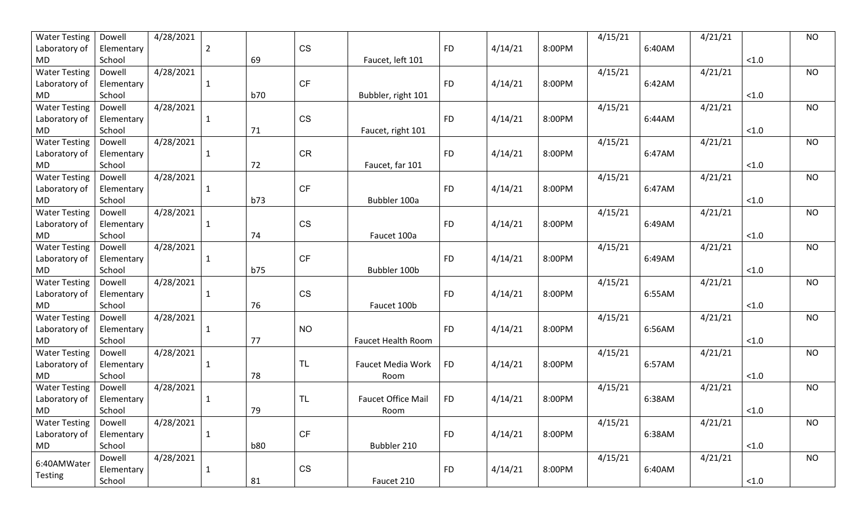| <b>Water Testing</b> | Dowell     | 4/28/2021 |              |            |           |                           |           |         |        | 4/15/21 |        | 4/21/21 |          | <b>NO</b> |
|----------------------|------------|-----------|--------------|------------|-----------|---------------------------|-----------|---------|--------|---------|--------|---------|----------|-----------|
| Laboratory of        | Elementary |           | 2            |            | <b>CS</b> |                           | <b>FD</b> | 4/14/21 | 8:00PM |         | 6:40AM |         |          |           |
| MD                   | School     |           |              | 69         |           | Faucet, left 101          |           |         |        |         |        |         | $<1.0$   |           |
| <b>Water Testing</b> | Dowell     | 4/28/2021 |              |            |           |                           |           |         |        | 4/15/21 |        | 4/21/21 |          | <b>NO</b> |
| Laboratory of        | Elementary |           | 1            |            | <b>CF</b> |                           | <b>FD</b> | 4/14/21 | 8:00PM |         | 6:42AM |         |          |           |
| MD                   | School     |           |              | b70        |           | Bubbler, right 101        |           |         |        |         |        |         | $<1.0$   |           |
| <b>Water Testing</b> | Dowell     | 4/28/2021 |              |            |           |                           |           |         |        | 4/15/21 |        | 4/21/21 |          | <b>NO</b> |
| Laboratory of        | Elementary |           | 1            |            | <b>CS</b> |                           | <b>FD</b> | 4/14/21 | 8:00PM |         | 6:44AM |         |          |           |
| MD.                  | School     |           |              | 71         |           | Faucet, right 101         |           |         |        |         |        |         | < 1.0    |           |
| <b>Water Testing</b> | Dowell     | 4/28/2021 |              |            |           |                           |           |         |        | 4/15/21 |        | 4/21/21 |          | <b>NO</b> |
| Laboratory of        | Elementary |           | $\mathbf{1}$ |            | <b>CR</b> |                           | <b>FD</b> | 4/14/21 | 8:00PM |         | 6:47AM |         |          |           |
| MD                   | School     |           |              | 72         |           | Faucet, far 101           |           |         |        |         |        |         | < 1.0    |           |
| <b>Water Testing</b> | Dowell     | 4/28/2021 |              |            |           |                           |           |         |        | 4/15/21 |        | 4/21/21 |          | <b>NO</b> |
| Laboratory of        | Elementary |           | 1            |            | <b>CF</b> |                           | <b>FD</b> | 4/14/21 | 8:00PM |         | 6:47AM |         |          |           |
| MD                   | School     |           |              | b73        |           | Bubbler 100a              |           |         |        |         |        |         | < 1.0    |           |
| <b>Water Testing</b> | Dowell     | 4/28/2021 |              |            |           |                           |           |         |        | 4/15/21 |        | 4/21/21 |          | <b>NO</b> |
| Laboratory of        | Elementary |           | 1            |            | <b>CS</b> |                           | <b>FD</b> | 4/14/21 | 8:00PM |         | 6:49AM |         |          |           |
| MD                   | School     |           |              | 74         |           | Faucet 100a               |           |         |        |         |        |         | $<1.0$   |           |
| <b>Water Testing</b> | Dowell     | 4/28/2021 |              |            |           |                           |           |         |        | 4/15/21 |        | 4/21/21 |          | <b>NO</b> |
| Laboratory of        | Elementary |           | -1           |            | <b>CF</b> |                           | <b>FD</b> | 4/14/21 | 8:00PM |         | 6:49AM |         |          |           |
| <b>MD</b>            | School     |           |              | <b>b75</b> |           | Bubbler 100b              |           |         |        |         |        |         | $<1.0$   |           |
| <b>Water Testing</b> | Dowell     | 4/28/2021 |              |            |           |                           |           |         |        | 4/15/21 |        | 4/21/21 |          | <b>NO</b> |
| Laboratory of        | Elementary |           | 1            |            | <b>CS</b> |                           | <b>FD</b> | 4/14/21 | 8:00PM |         | 6:55AM |         |          |           |
| MD.                  | School     |           |              | 76         |           | Faucet 100b               |           |         |        |         |        |         | < 1.0    |           |
| <b>Water Testing</b> | Dowell     | 4/28/2021 |              |            |           |                           |           |         |        | 4/15/21 |        | 4/21/21 |          | <b>NO</b> |
| Laboratory of        | Elementary |           | $\mathbf{1}$ |            | <b>NO</b> |                           | <b>FD</b> | 4/14/21 | 8:00PM |         | 6:56AM |         |          |           |
| MD                   | School     |           |              | 77         |           | <b>Faucet Health Room</b> |           |         |        |         |        |         | $<1.0$   |           |
| <b>Water Testing</b> | Dowell     | 4/28/2021 |              |            |           |                           |           |         |        | 4/15/21 |        | 4/21/21 |          | <b>NO</b> |
| Laboratory of        | Elementary |           | 1            |            | <b>TL</b> | <b>Faucet Media Work</b>  | <b>FD</b> | 4/14/21 | 8:00PM |         | 6:57AM |         |          |           |
| MD                   | School     |           |              | 78         |           | Room                      |           |         |        |         |        |         | $<1.0$   |           |
| <b>Water Testing</b> | Dowell     | 4/28/2021 |              |            |           |                           |           |         |        | 4/15/21 |        | 4/21/21 |          | <b>NO</b> |
| Laboratory of        | Elementary |           |              |            | <b>TL</b> | <b>Faucet Office Mail</b> | <b>FD</b> | 4/14/21 | 8:00PM |         | 6:38AM |         |          |           |
| MD                   | School     |           |              | 79         |           | Room                      |           |         |        |         |        |         | < 1.0    |           |
| <b>Water Testing</b> | Dowell     | 4/28/2021 |              |            |           |                           |           |         |        | 4/15/21 |        | 4/21/21 |          | <b>NO</b> |
| Laboratory of        | Elementary |           | $\mathbf{1}$ |            | <b>CF</b> |                           | <b>FD</b> | 4/14/21 | 8:00PM |         | 6:38AM |         |          |           |
| MD                   | School     |           |              | <b>b80</b> |           | Bubbler 210               |           |         |        |         |        |         | $<1.0\,$ |           |
|                      | Dowell     | 4/28/2021 |              |            |           |                           |           |         |        | 4/15/21 |        | 4/21/21 |          | <b>NO</b> |
| 6:40AMWater          | Elementary |           | $\mathbf{1}$ |            | CS        |                           | <b>FD</b> | 4/14/21 | 8:00PM |         | 6:40AM |         |          |           |
| Testing              | School     |           |              | 81         |           | Faucet 210                |           |         |        |         |        |         | < 1.0    |           |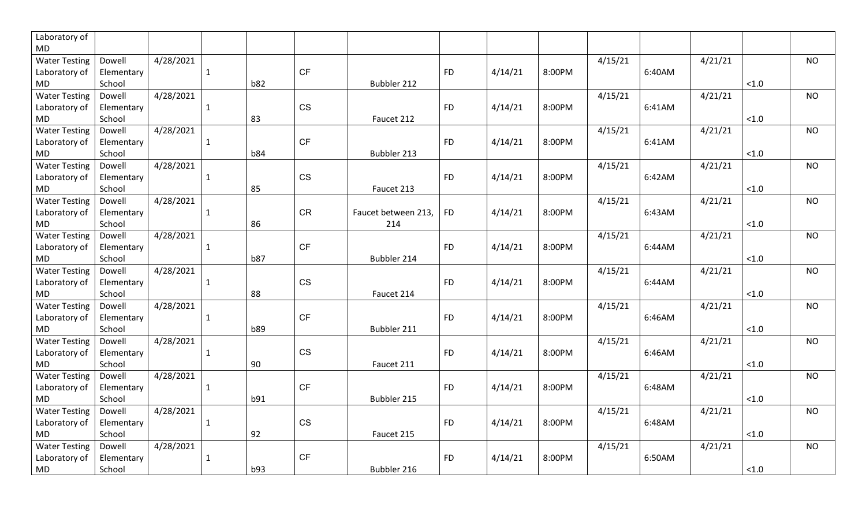| Laboratory of        |            |              |            |           |                     |           |         |        |         |        |         |        |           |
|----------------------|------------|--------------|------------|-----------|---------------------|-----------|---------|--------|---------|--------|---------|--------|-----------|
| <b>MD</b>            |            |              |            |           |                     |           |         |        |         |        |         |        |           |
| <b>Water Testing</b> | Dowell     | 4/28/2021    |            |           |                     |           |         |        | 4/15/21 |        | 4/21/21 |        | <b>NO</b> |
| Laboratory of        | Elementary | $\mathbf{1}$ |            | <b>CF</b> |                     | <b>FD</b> | 4/14/21 | 8:00PM |         | 6:40AM |         |        |           |
| MD                   | School     |              | <b>b82</b> |           | Bubbler 212         |           |         |        |         |        |         | $<1.0$ |           |
| <b>Water Testing</b> | Dowell     | 4/28/2021    |            |           |                     |           |         |        | 4/15/21 |        | 4/21/21 |        | <b>NO</b> |
| Laboratory of        | Elementary | $\mathbf{1}$ |            | <b>CS</b> |                     | <b>FD</b> | 4/14/21 | 8:00PM |         | 6:41AM |         |        |           |
| <b>MD</b>            | School     |              | 83         |           | Faucet 212          |           |         |        |         |        |         | $<1.0$ |           |
| <b>Water Testing</b> | Dowell     | 4/28/2021    |            |           |                     |           |         |        | 4/15/21 |        | 4/21/21 |        | <b>NO</b> |
| Laboratory of        | Elementary | $\mathbf{1}$ |            | <b>CF</b> |                     | <b>FD</b> | 4/14/21 | 8:00PM |         | 6:41AM |         |        |           |
| <b>MD</b>            | School     |              | <b>b84</b> |           | Bubbler 213         |           |         |        |         |        |         | < 1.0  |           |
| <b>Water Testing</b> | Dowell     | 4/28/2021    |            |           |                     |           |         |        | 4/15/21 |        | 4/21/21 |        | <b>NO</b> |
| Laboratory of        | Elementary | $\mathbf{1}$ |            | <b>CS</b> |                     | <b>FD</b> | 4/14/21 | 8:00PM |         | 6:42AM |         |        |           |
| <b>MD</b>            | School     |              | 85         |           | Faucet 213          |           |         |        |         |        |         | $<1.0$ |           |
| <b>Water Testing</b> | Dowell     | 4/28/2021    |            |           |                     |           |         |        | 4/15/21 |        | 4/21/21 |        | <b>NO</b> |
| Laboratory of        | Elementary | 1            |            | <b>CR</b> | Faucet between 213, | <b>FD</b> | 4/14/21 | 8:00PM |         | 6:43AM |         |        |           |
| <b>MD</b>            | School     |              | 86         |           | 214                 |           |         |        |         |        |         | < 1.0  |           |
| <b>Water Testing</b> | Dowell     | 4/28/2021    |            |           |                     |           |         |        | 4/15/21 |        | 4/21/21 |        | <b>NO</b> |
| Laboratory of        | Elementary | 1            |            | <b>CF</b> |                     | <b>FD</b> | 4/14/21 | 8:00PM |         | 6:44AM |         |        |           |
| <b>MD</b>            | School     |              | <b>b87</b> |           | Bubbler 214         |           |         |        |         |        |         | $<1.0$ |           |
| <b>Water Testing</b> | Dowell     | 4/28/2021    |            |           |                     |           |         |        | 4/15/21 |        | 4/21/21 |        | <b>NO</b> |
| Laboratory of        | Elementary | 1            |            | <b>CS</b> |                     | <b>FD</b> | 4/14/21 | 8:00PM |         | 6:44AM |         |        |           |
| MD                   | School     |              | 88         |           | Faucet 214          |           |         |        |         |        |         | $<1.0$ |           |
| <b>Water Testing</b> | Dowell     | 4/28/2021    |            |           |                     |           |         |        | 4/15/21 |        | 4/21/21 |        | NO.       |
| Laboratory of        | Elementary | 1            |            | <b>CF</b> |                     | <b>FD</b> | 4/14/21 | 8:00PM |         | 6:46AM |         |        |           |
| <b>MD</b>            | School     |              | b89        |           | Bubbler 211         |           |         |        |         |        |         | < 1.0  |           |
| <b>Water Testing</b> | Dowell     | 4/28/2021    |            |           |                     |           |         |        | 4/15/21 |        | 4/21/21 |        | <b>NO</b> |
| Laboratory of        | Elementary | $\mathbf{1}$ |            | <b>CS</b> |                     | <b>FD</b> | 4/14/21 | 8:00PM |         | 6:46AM |         |        |           |
| <b>MD</b>            | School     |              | 90         |           | Faucet 211          |           |         |        |         |        |         | $<1.0$ |           |
| <b>Water Testing</b> | Dowell     | 4/28/2021    |            |           |                     |           |         |        | 4/15/21 |        | 4/21/21 |        | <b>NO</b> |
| Laboratory of        | Elementary | $\mathbf{1}$ |            | <b>CF</b> |                     | <b>FD</b> | 4/14/21 | 8:00PM |         | 6:48AM |         |        |           |
| <b>MD</b>            | School     |              | b91        |           | Bubbler 215         |           |         |        |         |        |         | $<1.0$ |           |
| <b>Water Testing</b> | Dowell     | 4/28/2021    |            |           |                     |           |         |        | 4/15/21 |        | 4/21/21 |        | <b>NO</b> |
| Laboratory of        | Elementary | $\mathbf{1}$ |            | <b>CS</b> |                     | <b>FD</b> | 4/14/21 | 8:00PM |         | 6:48AM |         |        |           |
| <b>MD</b>            | School     |              | 92         |           | Faucet 215          |           |         |        |         |        |         | $<1.0$ |           |
| <b>Water Testing</b> | Dowell     | 4/28/2021    |            |           |                     |           |         |        | 4/15/21 |        | 4/21/21 |        | <b>NO</b> |
| Laboratory of        | Elementary | $\mathbf{1}$ |            | <b>CF</b> |                     | <b>FD</b> | 4/14/21 | 8:00PM |         | 6:50AM |         |        |           |
| <b>MD</b>            | School     |              | b93        |           | Bubbler 216         |           |         |        |         |        |         | < 1.0  |           |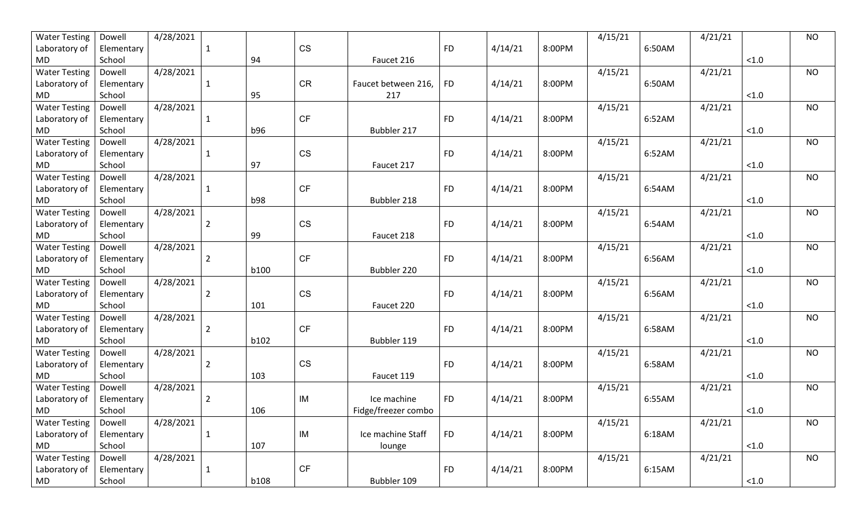| <b>Water Testing</b> | Dowell     | 4/28/2021 |                |             |           |                     |           |         |        | 4/15/21 |        | 4/21/21 |          | <b>NO</b> |
|----------------------|------------|-----------|----------------|-------------|-----------|---------------------|-----------|---------|--------|---------|--------|---------|----------|-----------|
| Laboratory of        | Elementary |           | -1             |             | <b>CS</b> |                     | <b>FD</b> | 4/14/21 | 8:00PM |         | 6:50AM |         |          |           |
| MD                   | School     |           |                | 94          |           | Faucet 216          |           |         |        |         |        |         | $<1.0$   |           |
| <b>Water Testing</b> | Dowell     | 4/28/2021 |                |             |           |                     |           |         |        | 4/15/21 |        | 4/21/21 |          | <b>NO</b> |
| Laboratory of        | Elementary |           | 1              |             | <b>CR</b> | Faucet between 216, | <b>FD</b> | 4/14/21 | 8:00PM |         | 6:50AM |         |          |           |
| <b>MD</b>            | School     |           |                | 95          |           | 217                 |           |         |        |         |        |         | $<1.0$   |           |
| <b>Water Testing</b> | Dowell     | 4/28/2021 |                |             |           |                     |           |         |        | 4/15/21 |        | 4/21/21 |          | <b>NO</b> |
| Laboratory of        | Elementary |           | -1             |             | <b>CF</b> |                     | <b>FD</b> | 4/14/21 | 8:00PM |         | 6:52AM |         |          |           |
| MD                   | School     |           |                | b96         |           | Bubbler 217         |           |         |        |         |        |         | < 1.0    |           |
| <b>Water Testing</b> | Dowell     | 4/28/2021 |                |             |           |                     |           |         |        | 4/15/21 |        | 4/21/21 |          | <b>NO</b> |
| Laboratory of        | Elementary |           | $\mathbf{1}$   |             | <b>CS</b> |                     | <b>FD</b> | 4/14/21 | 8:00PM |         | 6:52AM |         |          |           |
| MD                   | School     |           |                | 97          |           | Faucet 217          |           |         |        |         |        |         | < 1.0    |           |
| <b>Water Testing</b> | Dowell     | 4/28/2021 |                |             |           |                     |           |         |        | 4/15/21 |        | 4/21/21 |          | <b>NO</b> |
| Laboratory of        | Elementary |           | 1              |             | <b>CF</b> |                     | <b>FD</b> | 4/14/21 | 8:00PM |         | 6:54AM |         |          |           |
| MD                   | School     |           |                | <b>b98</b>  |           | Bubbler 218         |           |         |        |         |        |         | < 1.0    |           |
| <b>Water Testing</b> | Dowell     | 4/28/2021 |                |             |           |                     |           |         |        | 4/15/21 |        | 4/21/21 |          | <b>NO</b> |
| Laboratory of        | Elementary |           | 2              |             | <b>CS</b> |                     | <b>FD</b> | 4/14/21 | 8:00PM |         | 6:54AM |         |          |           |
| MD                   | School     |           |                | 99          |           | Faucet 218          |           |         |        |         |        |         | $<1.0$   |           |
| <b>Water Testing</b> | Dowell     | 4/28/2021 |                |             |           |                     |           |         |        | 4/15/21 |        | 4/21/21 |          | <b>NO</b> |
| Laboratory of        | Elementary |           | $\overline{2}$ |             | <b>CF</b> |                     | <b>FD</b> | 4/14/21 | 8:00PM |         | 6:56AM |         |          |           |
| <b>MD</b>            | School     |           |                | b100        |           | Bubbler 220         |           |         |        |         |        |         | $<1.0$   |           |
| <b>Water Testing</b> | Dowell     | 4/28/2021 |                |             |           |                     |           |         |        | 4/15/21 |        | 4/21/21 |          | <b>NO</b> |
| Laboratory of        | Elementary |           | $\overline{2}$ |             | <b>CS</b> |                     | <b>FD</b> | 4/14/21 | 8:00PM |         | 6:56AM |         |          |           |
| MD.                  | School     |           |                | 101         |           | Faucet 220          |           |         |        |         |        |         | < 1.0    |           |
| <b>Water Testing</b> | Dowell     | 4/28/2021 |                |             |           |                     |           |         |        | 4/15/21 |        | 4/21/21 |          | <b>NO</b> |
| Laboratory of        | Elementary |           | $\overline{2}$ |             | <b>CF</b> |                     | <b>FD</b> | 4/14/21 | 8:00PM |         | 6:58AM |         |          |           |
| MD                   | School     |           |                | b102        |           | Bubbler 119         |           |         |        |         |        |         | $<1.0$   |           |
| <b>Water Testing</b> | Dowell     | 4/28/2021 |                |             |           |                     |           |         |        | 4/15/21 |        | 4/21/21 |          | <b>NO</b> |
| Laboratory of        | Elementary |           | 2              |             | <b>CS</b> |                     | <b>FD</b> | 4/14/21 | 8:00PM |         | 6:58AM |         |          |           |
| MD                   | School     |           |                | 103         |           | Faucet 119          |           |         |        |         |        |         | $<1.0$   |           |
| <b>Water Testing</b> | Dowell     | 4/28/2021 |                |             |           |                     |           |         |        | 4/15/21 |        | 4/21/21 |          | <b>NO</b> |
| Laboratory of        | Elementary |           | 2              |             | IM        | Ice machine         | <b>FD</b> | 4/14/21 | 8:00PM |         | 6:55AM |         |          |           |
| MD                   | School     |           |                | 106         |           | Fidge/freezer combo |           |         |        |         |        |         | < 1.0    |           |
| <b>Water Testing</b> | Dowell     | 4/28/2021 |                |             |           |                     |           |         |        | 4/15/21 |        | 4/21/21 |          | <b>NO</b> |
| Laboratory of        | Elementary |           | $\mathbf{1}$   |             | IM        | Ice machine Staff   | <b>FD</b> | 4/14/21 | 8:00PM |         | 6:18AM |         |          |           |
| <b>MD</b>            | School     |           |                | 107         |           | lounge              |           |         |        |         |        |         | $<1.0\,$ |           |
| <b>Water Testing</b> | Dowell     | 4/28/2021 |                |             |           |                     |           |         |        | 4/15/21 |        | 4/21/21 |          | <b>NO</b> |
| Laboratory of        | Elementary |           | $\mathbf{1}$   |             | <b>CF</b> |                     | <b>FD</b> | 4/14/21 | 8:00PM |         | 6:15AM |         |          |           |
| MD                   | School     |           |                | <b>b108</b> |           | Bubbler 109         |           |         |        |         |        |         | < 1.0    |           |